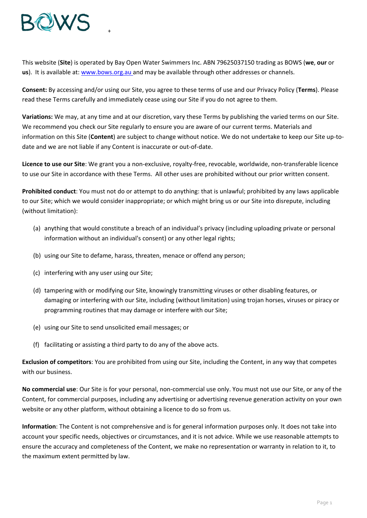

+

This website (**Site**) is operated by Bay Open Water Swimmers Inc. ABN 79625037150 trading as BOWS (**we**, **our** or **us**). It is available at: [www.bows.org.au](http://www.bows.org.au/) and may be available through other addresses or channels.

**Consent:** By accessing and/or using our Site, you agree to these terms of use and our Privacy Policy (**Terms**). Please read these Terms carefully and immediately cease using our Site if you do not agree to them.

**Variations:** We may, at any time and at our discretion, vary these Terms by publishing the varied terms on our Site. We recommend you check our Site regularly to ensure you are aware of our current terms. Materials and information on this Site (**Content**) are subject to change without notice. We do not undertake to keep our Site up-todate and we are not liable if any Content is inaccurate or out-of-date.

**Licence to use our Site**: We grant you a non-exclusive, royalty-free, revocable, worldwide, non-transferable licence to use our Site in accordance with these Terms. All other uses are prohibited without our prior written consent.

**Prohibited conduct**: You must not do or attempt to do anything: that is unlawful; prohibited by any laws applicable to our Site; which we would consider inappropriate; or which might bring us or our Site into disrepute, including (without limitation):

- (a) anything that would constitute a breach of an individual's privacy (including uploading private or personal information without an individual's consent) or any other legal rights;
- (b) using our Site to defame, harass, threaten, menace or offend any person;
- (c) interfering with any user using our Site;
- (d) tampering with or modifying our Site, knowingly transmitting viruses or other disabling features, or damaging or interfering with our Site, including (without limitation) using trojan horses, viruses or piracy or programming routines that may damage or interfere with our Site;
- (e) using our Site to send unsolicited email messages; or
- (f) facilitating or assisting a third party to do any of the above acts.

**Exclusion of competitors**: You are prohibited from using our Site, including the Content, in any way that competes with our business.

**No commercial use**: Our Site is for your personal, non-commercial use only. You must not use our Site, or any of the Content, for commercial purposes, including any advertising or advertising revenue generation activity on your own website or any other platform, without obtaining a licence to do so from us.

**Information**: The Content is not comprehensive and is for general information purposes only. It does not take into account your specific needs, objectives or circumstances, and it is not advice. While we use reasonable attempts to ensure the accuracy and completeness of the Content, we make no representation or warranty in relation to it, to the maximum extent permitted by law.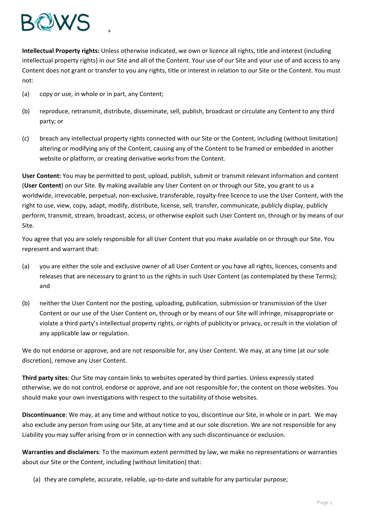

**Intellectual Property rights:** Unless otherwise indicated, we own or licence all rights, title and interest (including intellectual property rights) in our Site and all of the Content. Your use of our Site and your use of and access to any Content does not grant or transfer to you any rights, title or interest in relation to our Site or the Content. You must not:

(a) copy or use, in whole or in part, any Content;

+

- (b) reproduce, retransmit, distribute, disseminate, sell, publish, broadcast or circulate any Content to any third party; or
- (c) breach any intellectual property rights connected with our Site or the Content, including (without limitation) altering or modifying any of the Content, causing any of the Content to be framed or embedded in another website or platform, or creating derivative works from the Content.

**User Content:** You may be permitted to post, upload, publish, submit or transmit relevant information and content (**User Content**) on our Site. By making available any User Content on or through our Site, you grant to us a worldwide, irrevocable, perpetual, non-exclusive, transferable, royalty-free licence to use the User Content, with the right to use, view, copy, adapt, modify, distribute, license, sell, transfer, communicate, publicly display, publicly perform, transmit, stream, broadcast, access, or otherwise exploit such User Content on, through or by means of our Site.

You agree that you are solely responsible for all User Content that you make available on or through our Site. You represent and warrant that:

- (a) you are either the sole and exclusive owner of all User Content or you have all rights, licences, consents and releases that are necessary to grant to us the rights in such User Content (as contemplated by these Terms); and
- (b) neither the User Content nor the posting, uploading, publication, submission or transmission of the User Content or our use of the User Content on, through or by means of our Site will infringe, misappropriate or violate a third party's intellectual property rights, or rights of publicity or privacy, or result in the violation of any applicable law or regulation.

We do not endorse or approve, and are not responsible for, any User Content. We may, at any time (at our sole discretion), remove any User Content.

**Third party sites**: Our Site may contain links to websites operated by third parties. Unless expressly stated otherwise, we do not control, endorse or approve, and are not responsible for, the content on those websites. You should make your own investigations with respect to the suitability of those websites.

**Discontinuance**: We may, at any time and without notice to you, discontinue our Site, in whole or in part. We may also exclude any person from using our Site, at any time and at our sole discretion. We are not responsible for any Liability you may suffer arising from or in connection with any such discontinuance or exclusion.

**Warranties and disclaimers**: To the maximum extent permitted by law, we make no representations or warranties about our Site or the Content, including (without limitation) that:

(a) they are complete, accurate, reliable, up-to-date and suitable for any particular purpose;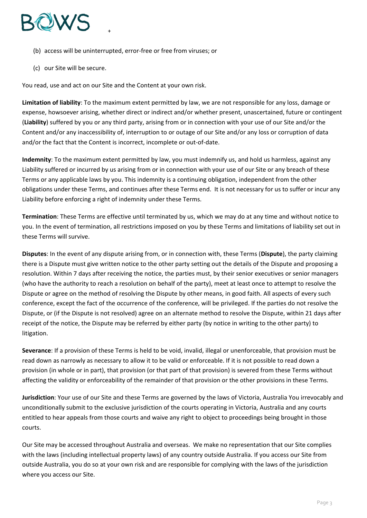

- (b) access will be uninterrupted, error-free or free from viruses; or
- (c) our Site will be secure.

You read, use and act on our Site and the Content at your own risk.

+

**Limitation of liability**: To the maximum extent permitted by law, we are not responsible for any loss, damage or expense, howsoever arising, whether direct or indirect and/or whether present, unascertained, future or contingent (**Liability**) suffered by you or any third party, arising from or in connection with your use of our Site and/or the Content and/or any inaccessibility of, interruption to or outage of our Site and/or any loss or corruption of data and/or the fact that the Content is incorrect, incomplete or out-of-date.

**Indemnity**: To the maximum extent permitted by law, you must indemnify us, and hold us harmless, against any Liability suffered or incurred by us arising from or in connection with your use of our Site or any breach of these Terms or any applicable laws by you. This indemnity is a continuing obligation, independent from the other obligations under these Terms, and continues after these Terms end. It is not necessary for us to suffer or incur any Liability before enforcing a right of indemnity under these Terms.

**Termination**: These Terms are effective until terminated by us, which we may do at any time and without notice to you. In the event of termination, all restrictions imposed on you by these Terms and limitations of liability set out in these Terms will survive.

**Disputes**: In the event of any dispute arising from, or in connection with, these Terms (**Dispute**), the party claiming there is a Dispute must give written notice to the other party setting out the details of the Dispute and proposing a resolution. Within 7 days after receiving the notice, the parties must, by their senior executives or senior managers (who have the authority to reach a resolution on behalf of the party), meet at least once to attempt to resolve the Dispute or agree on the method of resolving the Dispute by other means, in good faith. All aspects of every such conference, except the fact of the occurrence of the conference, will be privileged. If the parties do not resolve the Dispute, or (if the Dispute is not resolved) agree on an alternate method to resolve the Dispute, within 21 days after receipt of the notice, the Dispute may be referred by either party (by notice in writing to the other party) to litigation.

**Severance**: If a provision of these Terms is held to be void, invalid, illegal or unenforceable, that provision must be read down as narrowly as necessary to allow it to be valid or enforceable. If it is not possible to read down a provision (in whole or in part), that provision (or that part of that provision) is severed from these Terms without affecting the validity or enforceability of the remainder of that provision or the other provisions in these Terms.

**Jurisdiction**: Your use of our Site and these Terms are governed by the laws of Victoria, Australia You irrevocably and unconditionally submit to the exclusive jurisdiction of the courts operating in Victoria, Australia and any courts entitled to hear appeals from those courts and waive any right to object to proceedings being brought in those courts.

Our Site may be accessed throughout Australia and overseas. We make no representation that our Site complies with the laws (including intellectual property laws) of any country outside Australia. If you access our Site from outside Australia, you do so at your own risk and are responsible for complying with the laws of the jurisdiction where you access our Site.